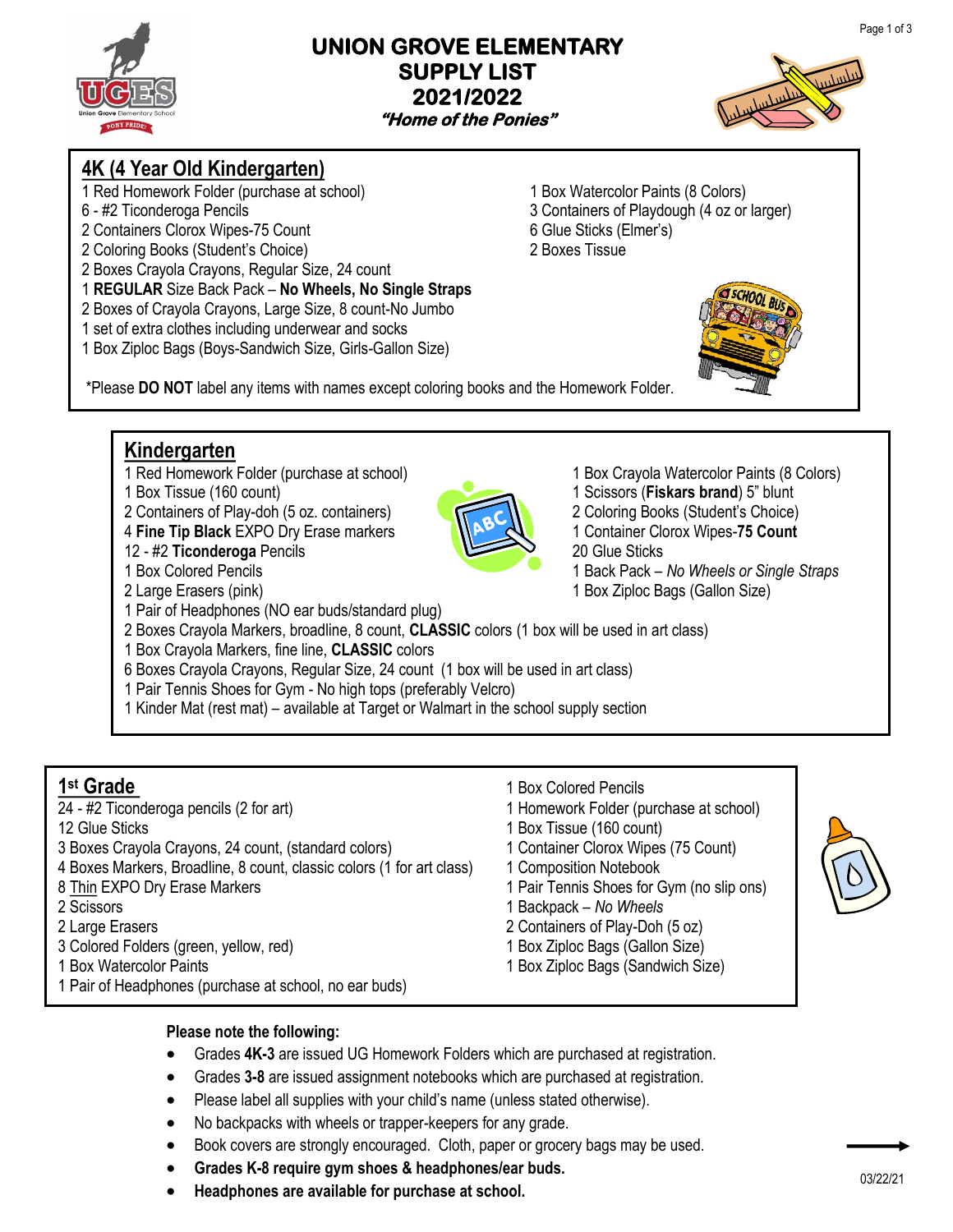### **UNION GROVE ELEMENTARY SUPPLY LIST 2021/2022 "Home of the Ponies"**



# **4K (4 Year Old Kindergarten)**

- 1 Red Homework Folder (purchase at school) 1 Box Watercolor Paints (8 Colors)
- 
- 2 Containers Clorox Wipes-75 Count 6 Glue Sticks (Elmer's)
- 2 Coloring Books (Student's Choice) 2 Boxes Tissue
- 2 Boxes Crayola Crayons, Regular Size, 24 count
- 1 **REGULAR** Size Back Pack **No Wheels, No Single Straps**
- 2 Boxes of Crayola Crayons, Large Size, 8 count-No Jumbo
- 1 set of extra clothes including underwear and socks
- 1 Box Ziploc Bags (Boys-Sandwich Size, Girls-Gallon Size)
- 6 #2 Ticonderoga Pencils 3 Containers of Playdough (4 oz or larger)



\*Please **DO NOT** label any items with names except coloring books and the Homework Folder.

## **Kindergarten**

- 1 Red Homework Folder (purchase at school) 1 Box Crayola Watercolor Paints (8 Colors)
- 
- 2 Containers of Play-doh (5 oz. containers) 2 Coloring Books (Student's Choice)
- 4 **Fine Tip Black** EXPO Dry Erase markers 1 **1 1** Container Clorox Wipes-75 Count
- 12 #2 **Ticonderoga** Pencils 20 Glue Sticks
- 
- 
- 1 Pair of Headphones (NO ear buds/standard plug)
- 2 Boxes Crayola Markers, broadline, 8 count, **CLASSIC** colors (1 box will be used in art class)
- 1 Box Crayola Markers, fine line, **CLASSIC** colors
- 6 Boxes Crayola Crayons, Regular Size, 24 count (1 box will be used in art class)
- 1 Pair Tennis Shoes for Gym No high tops (preferably Velcro)
- 1 Kinder Mat (rest mat) available at Target or Walmart in the school supply section

- 1st Grade<br>24 #2 Ticonderoga pencils (2 for art)
- 
- 3 Boxes Crayola Crayons, 24 count, (standard colors) 1 Container Clorox Wipes (75 Count)
- 4 Boxes Markers, Broadline, 8 count, classic colors (1 for art class) 1 Composition Notebook
- 
- 
- 
- 3 Colored Folders (green, yellow, red) 1 Box Ziploc Bags (Gallon Size)
- 
- 1 Pair of Headphones (purchase at school, no ear buds)
- **st Grade** 1 Box Colored Pencils
- 1 Homework Folder (purchase at school)
- 12 Glue Sticks 1 Box Tissue (160 count)
	-
	-
- 8 Thin EXPO Dry Erase Markers 1 Pair Tennis Shoes for Gym (no slip ons)
- 2 Scissors 1 Backpack *No Wheels*
- 2 Large Erasers 2 Containers of Play-Doh (5 oz)
	-
- 1 Box Watercolor Paints 1 Box Ziploc Bags (Sandwich Size)



#### **Please note the following:**

- Grades **4K-3** are issued UG Homework Folders which are purchased at registration.
- Grades **3-8** are issued assignment notebooks which are purchased at registration.
- Please label all supplies with your child's name (unless stated otherwise).
- No backpacks with wheels or trapper-keepers for any grade.
- Book covers are strongly encouraged. Cloth, paper or grocery bags may be used.
- **Grades K-8 require gym shoes & headphones/ear buds.**
- **Headphones are available for purchase at school.**



- 1 Box Tissue (160 count) 1 Scissors (**Fiskars brand**) 5" blunt
	-
- 1 Box Colored Pencils 1 Back Pack *No Wheels or Single Straps* 2 Large Erasers (pink) 1 Box Ziploc Bags (Gallon Size)
	-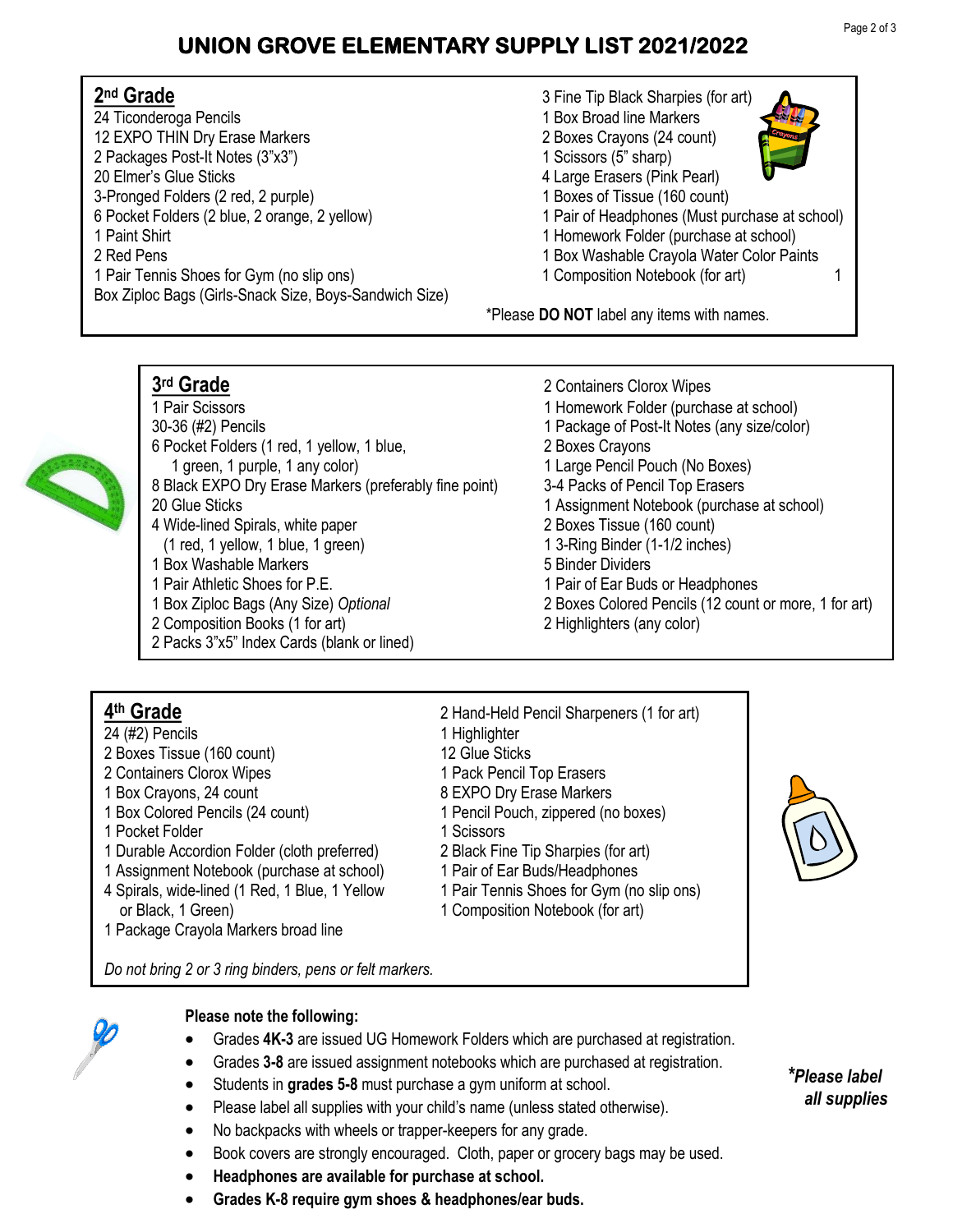# **UNION GROVE ELEMENTARY SUPPLY LIST 2021/2022**

#### 2<sup>nd</sup> Grade 24 Ticonderoga Pencils 1 Box Broad line Markers 12 EXPO THIN Dry Erase Markers 2 Boxes Crayons (24 count) 2 Packages Post-It Notes (3"x3") 1 Scissors (5" sharp) 20 Elmer's Glue Sticks **4 Large Erasers (Pink Pearl)** 3-Pronged Folders (2 red, 2 purple)<br>
6 Pocket Folders (2 blue, 2 orange, 2 yellow)<br>
1 Pair of Headphones (Must pure for the 1 Pair of Headphones (Must pure for the 1 1 Paint Shirt 1 Homework Folder (purchase at school) 2 Red Pens 2 Red Pens 2 Red Pens 1 Pair Tennis Shoes for Gym (no slip ons) 1 Composition Notebook (for art) 1 Box Ziploc Bags (Girls-Snack Size, Boys-Sandwich Size)

**nd Grade** 3 Fine Tip Black Sharpies (for art) 1 Pair of Headphones (Must purchase at school)

\*Please **DO NOT** label any items with names.

**rd Grade** 2 Containers Clorox Wipes

## 3<sup>rd</sup> Grade



- 1 Pair Scissors 1 Homework Folder (purchase at school) 30-36 (#2) Pencils 1 Package of Post-It Notes (any size/color) 6 Pocket Folders (1 red, 1 yellow, 1 blue, 2 Boxes Crayons 1 green, 1 purple, 1 any color) 1 Large Pencil Pouch (No Boxes) 8 Black EXPO Dry Erase Markers (preferably fine point) 3-4 Packs of Pencil Top Erasers 20 Glue Sticks **1** Assignment Notebook (purchase at school) 4 Wide-lined Spirals, white paper 2 Boxes Tissue (160 count) (1 red, 1 yellow, 1 blue, 1 green) 1 3-Ring Binder (1-1/2 inches) 1 Box Washable Markers 1 1 Box Washable Markers 1 Box 1 Binder Dividers 1 Pair Athletic Shoes for P.E. 1 Pair of Ear Buds or Headphones 1 Box Ziploc Bags (Any Size) *Optional* 2 Boxes Colored Pencils (12 count or more, 1 for art)
- 2 Composition Books (1 for art) 2 Highlighters (any color)
- 2 Packs 3"x5" Index Cards (blank or lined)

## 4<sup>th</sup> Grade

- 24 (#2) Pencils 24 (#2) Pencils
- 2 Boxes Tissue (160 count) 12 Glue Sticks
- 2 Containers Clorox Wipes 1 Pack Pencil Top Erasers
- 
- 
- 1 Pocket Folder 1 Scissors
- 1 Durable Accordion Folder (cloth preferred) 2 Black Fine Tip Sharpies (for art)
- 1 Assignment Notebook (purchase at school) 1 Pair of Ear Buds/Headphones
- 4 Spirals, wide-lined (1 Red, 1 Blue, 1 Yellow 1 Pair Tennis Shoes for Gym (no slip ons) or Black, 1 Green) and 1 Composition Notebook (for art)
- 1 Package Crayola Markers broad line

1 Box Crayons, 24 count 1 Box Crayons, 24 count 1 Box Colored Pencils (24 count) 1 Pencil Pouch, zippered (no boxes)

**th Grade** 2 Hand-Held Pencil Sharpeners (1 for art)

- 
- 



*Do not bring 2 or 3 ring binders, pens or felt markers.*



#### **Please note the following:**

- Grades **4K-3** are issued UG Homework Folders which are purchased at registration.
- Grades **3-8** are issued assignment notebooks which are purchased at registration.
- Students in **grades 5-8** must purchase a gym uniform at school.
- Please label all supplies with your child's name (unless stated otherwise).
- No backpacks with wheels or trapper-keepers for any grade.
- Book covers are strongly encouraged. Cloth, paper or grocery bags may be used.
- **Headphones are available for purchase at school.**
- **Grades K-8 require gym shoes & headphones/ear buds.**

*\*Please label all supplies*